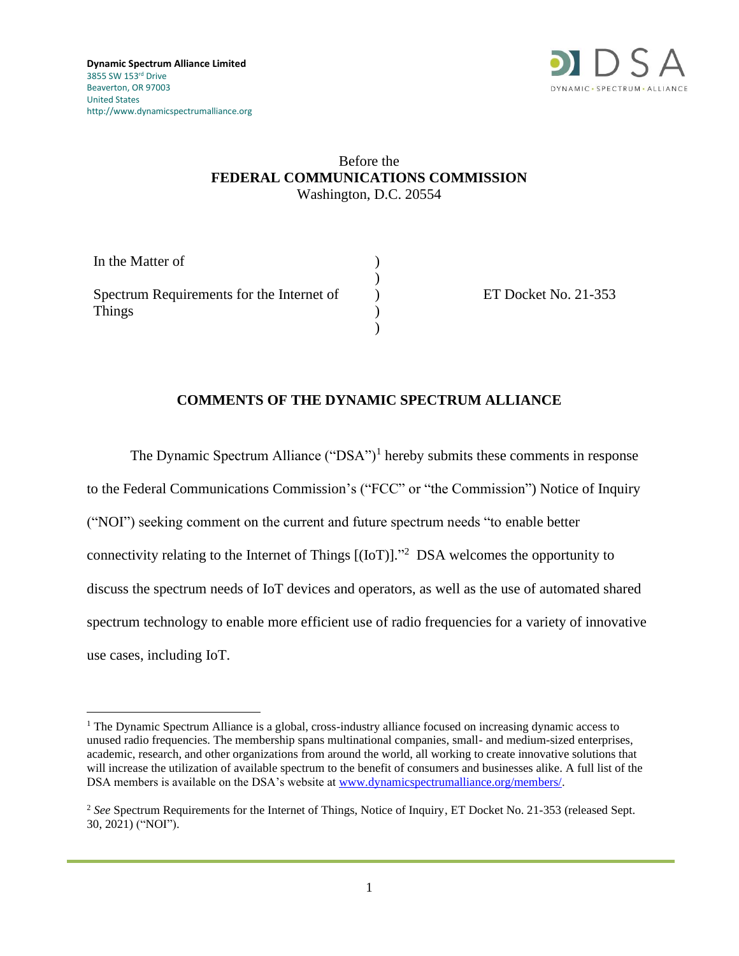

### Before the **FEDERAL COMMUNICATIONS COMMISSION** Washington, D.C. 20554

| In the Matter of                                    |  |
|-----------------------------------------------------|--|
| Spectrum Requirements for the Internet of<br>Things |  |
|                                                     |  |
|                                                     |  |

ET Docket No. 21-353

### **COMMENTS OF THE DYNAMIC SPECTRUM ALLIANCE**

The Dynamic Spectrum Alliance ("DSA")<sup>1</sup> hereby submits these comments in response to the Federal Communications Commission's ("FCC" or "the Commission") Notice of Inquiry ("NOI") seeking comment on the current and future spectrum needs "to enable better connectivity relating to the Internet of Things  $[(IoT)]$ .<sup>22</sup> DSA welcomes the opportunity to discuss the spectrum needs of IoT devices and operators, as well as the use of automated shared spectrum technology to enable more efficient use of radio frequencies for a variety of innovative use cases, including IoT.

<sup>&</sup>lt;sup>1</sup> The Dynamic Spectrum Alliance is a global, cross-industry alliance focused on increasing dynamic access to unused radio frequencies. The membership spans multinational companies, small- and medium-sized enterprises, academic, research, and other organizations from around the world, all working to create innovative solutions that will increase the utilization of available spectrum to the benefit of consumers and businesses alike. A full list of the DSA members is available on the DSA's website at [www.dynamicspectrumalliance.org/members/.](http://www.dynamicspectrumalliance.org/members/)

<sup>2</sup> *See* Spectrum Requirements for the Internet of Things, Notice of Inquiry, ET Docket No. 21-353 (released Sept. 30, 2021) ("NOI").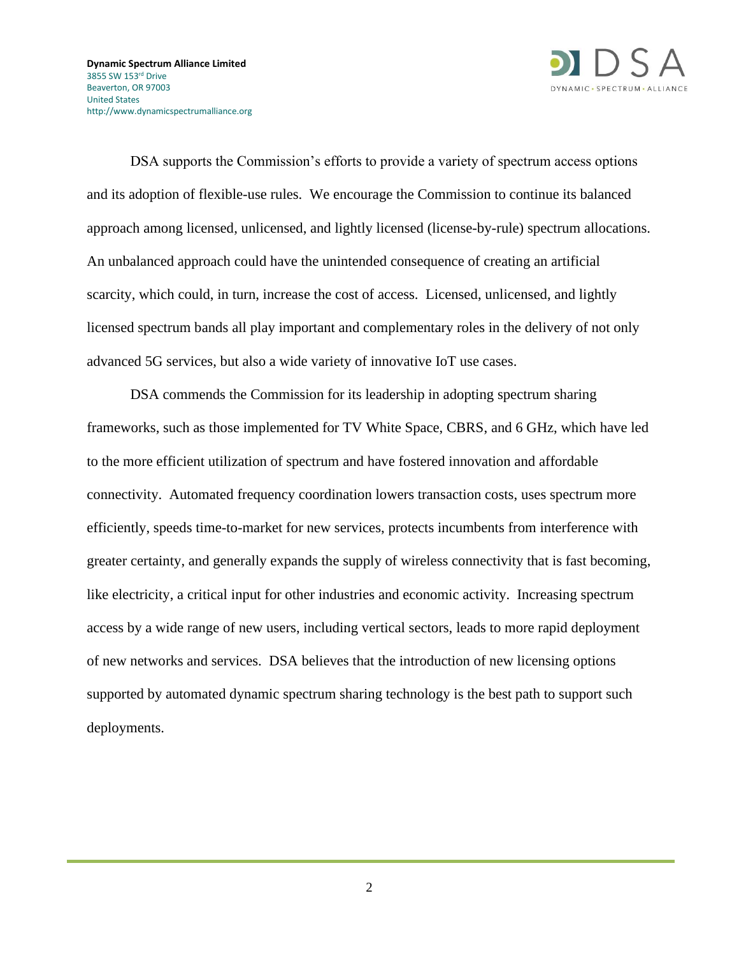

DSA supports the Commission's efforts to provide a variety of spectrum access options and its adoption of flexible-use rules. We encourage the Commission to continue its balanced approach among licensed, unlicensed, and lightly licensed (license-by-rule) spectrum allocations. An unbalanced approach could have the unintended consequence of creating an artificial scarcity, which could, in turn, increase the cost of access. Licensed, unlicensed, and lightly licensed spectrum bands all play important and complementary roles in the delivery of not only advanced 5G services, but also a wide variety of innovative IoT use cases.

DSA commends the Commission for its leadership in adopting spectrum sharing frameworks, such as those implemented for TV White Space, CBRS, and 6 GHz, which have led to the more efficient utilization of spectrum and have fostered innovation and affordable connectivity. Automated frequency coordination lowers transaction costs, uses spectrum more efficiently, speeds time-to-market for new services, protects incumbents from interference with greater certainty, and generally expands the supply of wireless connectivity that is fast becoming, like electricity, a critical input for other industries and economic activity. Increasing spectrum access by a wide range of new users, including vertical sectors, leads to more rapid deployment of new networks and services. DSA believes that the introduction of new licensing options supported by automated dynamic spectrum sharing technology is the best path to support such deployments.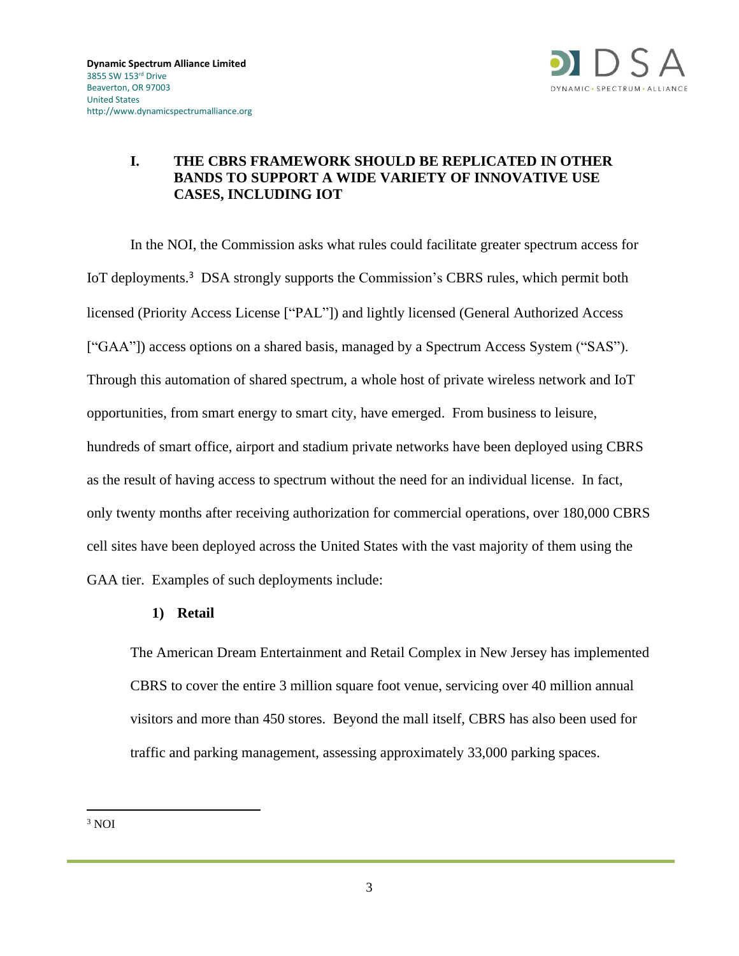

# **I. THE CBRS FRAMEWORK SHOULD BE REPLICATED IN OTHER BANDS TO SUPPORT A WIDE VARIETY OF INNOVATIVE USE CASES, INCLUDING IOT**

In the NOI, the Commission asks what rules could facilitate greater spectrum access for IoT deployments.<sup>3</sup> DSA strongly supports the Commission's CBRS rules, which permit both licensed (Priority Access License ["PAL"]) and lightly licensed (General Authorized Access ["GAA"]) access options on a shared basis, managed by a Spectrum Access System ("SAS"). Through this automation of shared spectrum, a whole host of private wireless network and IoT opportunities, from smart energy to smart city, have emerged. From business to leisure, hundreds of smart office, airport and stadium private networks have been deployed using CBRS as the result of having access to spectrum without the need for an individual license. In fact, only twenty months after receiving authorization for commercial operations, over 180,000 CBRS cell sites have been deployed across the United States with the vast majority of them using the GAA tier. Examples of such deployments include:

#### **1) Retail**

The American Dream Entertainment and Retail Complex in New Jersey has implemented CBRS to cover the entire 3 million square foot venue, servicing over 40 million annual visitors and more than 450 stores. Beyond the mall itself, CBRS has also been used for traffic and parking management, assessing approximately 33,000 parking spaces.

<sup>3</sup> NOI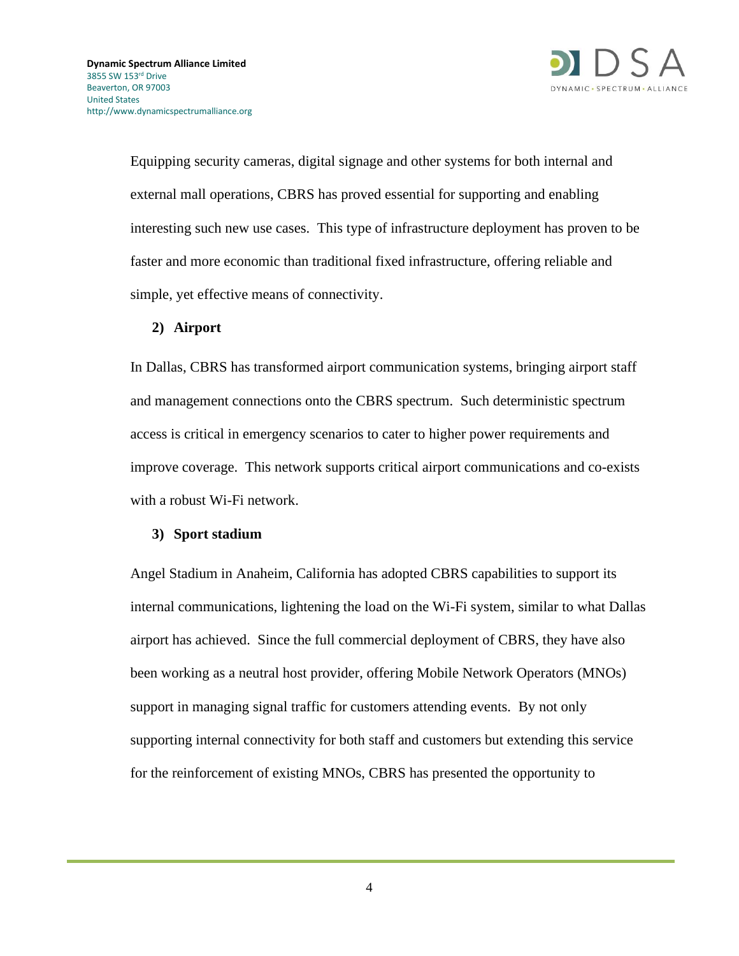

Equipping security cameras, digital signage and other systems for both internal and external mall operations, CBRS has proved essential for supporting and enabling interesting such new use cases. This type of infrastructure deployment has proven to be faster and more economic than traditional fixed infrastructure, offering reliable and simple, yet effective means of connectivity.

#### **2) Airport**

In Dallas, CBRS has transformed airport communication systems, bringing airport staff and management connections onto the CBRS spectrum. Such deterministic spectrum access is critical in emergency scenarios to cater to higher power requirements and improve coverage. This network supports critical airport communications and co-exists with a robust Wi-Fi network.

#### **3) Sport stadium**

Angel Stadium in Anaheim, California has adopted CBRS capabilities to support its internal communications, lightening the load on the Wi-Fi system, similar to what Dallas airport has achieved. Since the full commercial deployment of CBRS, they have also been working as a neutral host provider, offering Mobile Network Operators (MNOs) support in managing signal traffic for customers attending events. By not only supporting internal connectivity for both staff and customers but extending this service for the reinforcement of existing MNOs, CBRS has presented the opportunity to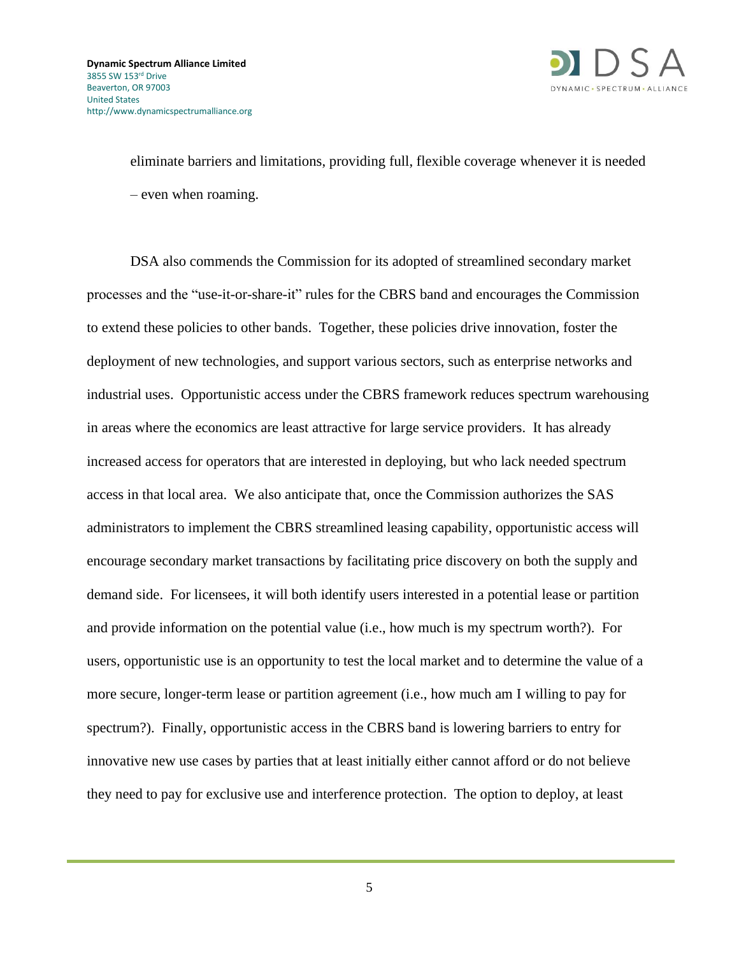

eliminate barriers and limitations, providing full, flexible coverage whenever it is needed – even when roaming.

DSA also commends the Commission for its adopted of streamlined secondary market processes and the "use-it-or-share-it" rules for the CBRS band and encourages the Commission to extend these policies to other bands. Together, these policies drive innovation, foster the deployment of new technologies, and support various sectors, such as enterprise networks and industrial uses. Opportunistic access under the CBRS framework reduces spectrum warehousing in areas where the economics are least attractive for large service providers. It has already increased access for operators that are interested in deploying, but who lack needed spectrum access in that local area. We also anticipate that, once the Commission authorizes the SAS administrators to implement the CBRS streamlined leasing capability, opportunistic access will encourage secondary market transactions by facilitating price discovery on both the supply and demand side. For licensees, it will both identify users interested in a potential lease or partition and provide information on the potential value (i.e., how much is my spectrum worth?). For users, opportunistic use is an opportunity to test the local market and to determine the value of a more secure, longer-term lease or partition agreement (i.e., how much am I willing to pay for spectrum?). Finally, opportunistic access in the CBRS band is lowering barriers to entry for innovative new use cases by parties that at least initially either cannot afford or do not believe they need to pay for exclusive use and interference protection. The option to deploy, at least

5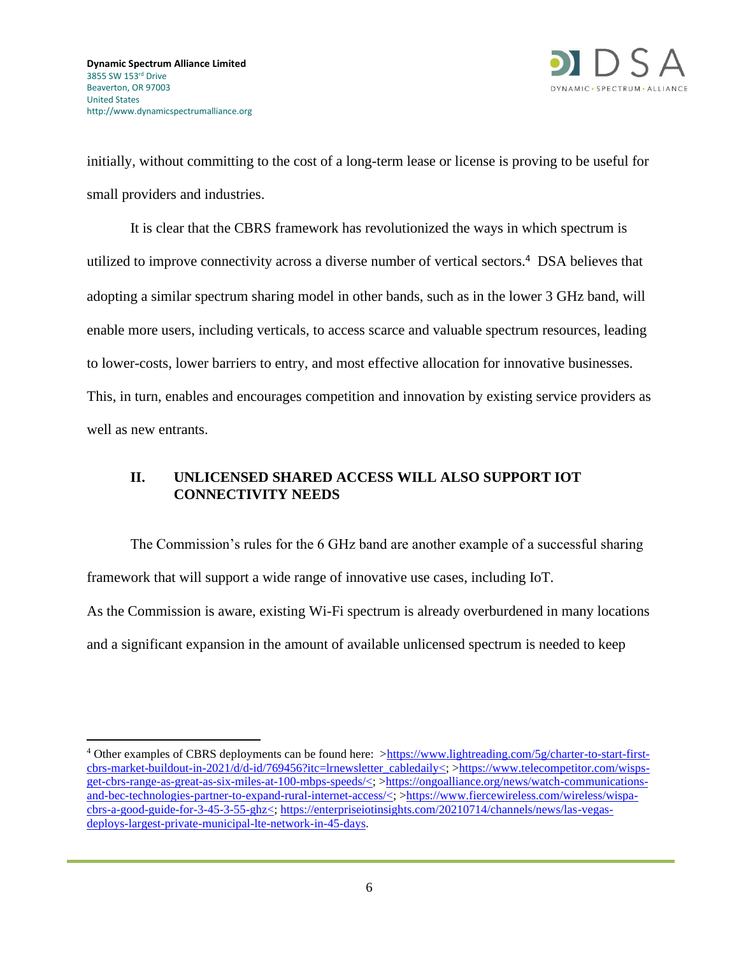

initially, without committing to the cost of a long-term lease or license is proving to be useful for small providers and industries.

It is clear that the CBRS framework has revolutionized the ways in which spectrum is utilized to improve connectivity across a diverse number of vertical sectors.<sup>4</sup> DSA believes that adopting a similar spectrum sharing model in other bands, such as in the lower 3 GHz band, will enable more users, including verticals, to access scarce and valuable spectrum resources, leading to lower-costs, lower barriers to entry, and most effective allocation for innovative businesses. This, in turn, enables and encourages competition and innovation by existing service providers as well as new entrants.

# **II. UNLICENSED SHARED ACCESS WILL ALSO SUPPORT IOT CONNECTIVITY NEEDS**

The Commission's rules for the 6 GHz band are another example of a successful sharing framework that will support a wide range of innovative use cases, including IoT. As the Commission is aware, existing Wi-Fi spectrum is already overburdened in many locations and a significant expansion in the amount of available unlicensed spectrum is needed to keep

<sup>&</sup>lt;sup>4</sup> Other examples of CBRS deployments can be found here: [>https://www.lightreading.com/5g/charter-to-start-first](https://www.lightreading.com/5g/charter-to-start-first-cbrs-market-buildout-in-2021/d/d-id/769456?itc=lrnewsletter_cabledaily%3c)[cbrs-market-buildout-in-2021/d/d-id/769456?itc=lrnewsletter\\_cabledaily<;](https://www.lightreading.com/5g/charter-to-start-first-cbrs-market-buildout-in-2021/d/d-id/769456?itc=lrnewsletter_cabledaily%3c) [>https://www.telecompetitor.com/wisps](https://www.telecompetitor.com/wisps-get-cbrs-range-as-great-as-six-miles-at-100-mbps-speeds/%3c)[get-cbrs-range-as-great-as-six-miles-at-100-mbps-speeds/<;](https://www.telecompetitor.com/wisps-get-cbrs-range-as-great-as-six-miles-at-100-mbps-speeds/%3c) [>https://ongoalliance.org/news/watch-communications](https://ongoalliance.org/news/watch-communications-and-bec-technologies-partner-to-expand-rural-internet-access/%3c)[and-bec-technologies-partner-to-expand-rural-internet-access/<;](https://ongoalliance.org/news/watch-communications-and-bec-technologies-partner-to-expand-rural-internet-access/%3c) [>https://www.fiercewireless.com/wireless/wispa](https://www.fiercewireless.com/wireless/wispa-cbrs-a-good-guide-for-3-45-3-55-ghz%3c)[cbrs-a-good-guide-for-3-45-3-55-ghz<;](https://www.fiercewireless.com/wireless/wispa-cbrs-a-good-guide-for-3-45-3-55-ghz%3c) [https://enterpriseiotinsights.com/20210714/channels/news/las-vegas](https://enterpriseiotinsights.com/20210714/channels/news/las-vegas-deploys-largest-private-municipal-lte-network-in-45-days?utm_campaign=RCR%20Newsletter&utm_medium=email&_hsmi=140455124&_hsenc=p2ANqtz-8_naAz8kuWAD4MfCsNIO_UI-BHN_Tmp_iZplCd7CyjjErXRYqqzuw2clkX7aZjVjvO_rXC6x2qLT514s778wtgZli-kkEvx9mmlXvfu-4IsAQOaUM&utm_content=140455124&utm_source=hs_email)[deploys-largest-private-municipal-lte-network-in-45-days](https://enterpriseiotinsights.com/20210714/channels/news/las-vegas-deploys-largest-private-municipal-lte-network-in-45-days?utm_campaign=RCR%20Newsletter&utm_medium=email&_hsmi=140455124&_hsenc=p2ANqtz-8_naAz8kuWAD4MfCsNIO_UI-BHN_Tmp_iZplCd7CyjjErXRYqqzuw2clkX7aZjVjvO_rXC6x2qLT514s778wtgZli-kkEvx9mmlXvfu-4IsAQOaUM&utm_content=140455124&utm_source=hs_email).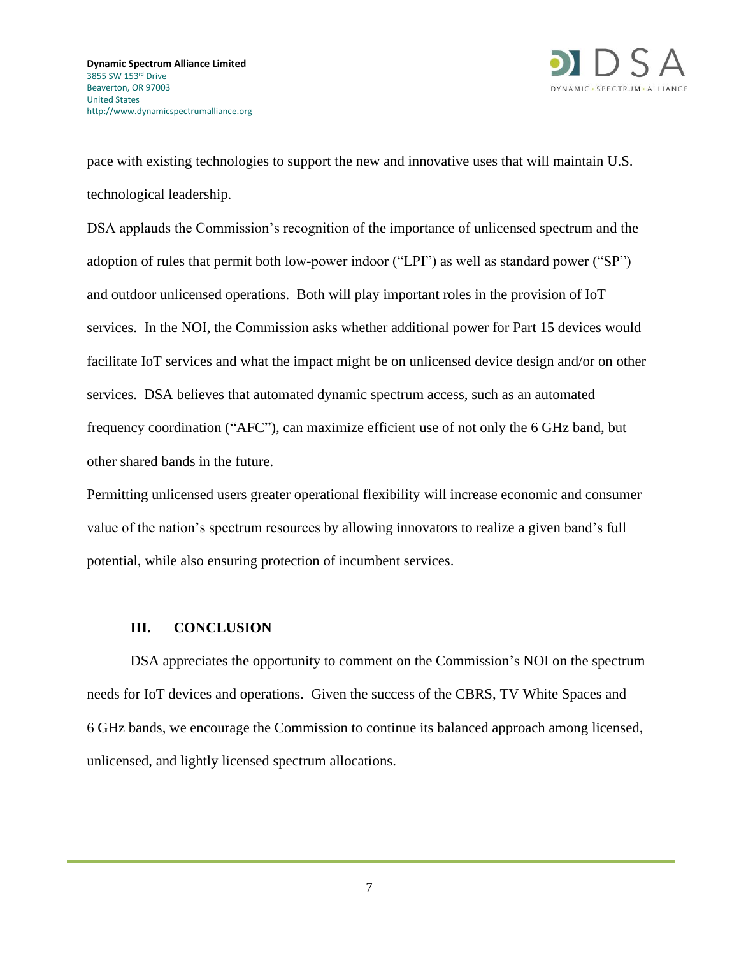

pace with existing technologies to support the new and innovative uses that will maintain U.S. technological leadership.

DSA applauds the Commission's recognition of the importance of unlicensed spectrum and the adoption of rules that permit both low-power indoor ("LPI") as well as standard power ("SP") and outdoor unlicensed operations. Both will play important roles in the provision of IoT services. In the NOI, the Commission asks whether additional power for Part 15 devices would facilitate IoT services and what the impact might be on unlicensed device design and/or on other services. DSA believes that automated dynamic spectrum access, such as an automated frequency coordination ("AFC"), can maximize efficient use of not only the 6 GHz band, but other shared bands in the future.

Permitting unlicensed users greater operational flexibility will increase economic and consumer value of the nation's spectrum resources by allowing innovators to realize a given band's full potential, while also ensuring protection of incumbent services.

#### **III. CONCLUSION**

DSA appreciates the opportunity to comment on the Commission's NOI on the spectrum needs for IoT devices and operations. Given the success of the CBRS, TV White Spaces and 6 GHz bands, we encourage the Commission to continue its balanced approach among licensed, unlicensed, and lightly licensed spectrum allocations.